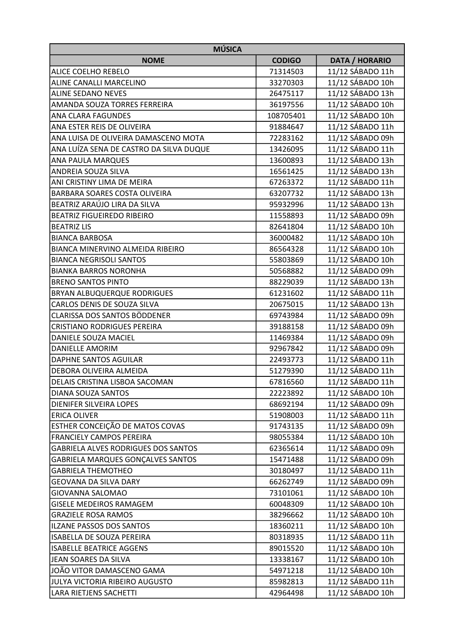| <b>MÚSICA</b>                              |               |                       |  |
|--------------------------------------------|---------------|-----------------------|--|
| <b>NOME</b>                                | <b>CODIGO</b> | <b>DATA / HORARIO</b> |  |
| <b>ALICE COELHO REBELO</b>                 | 71314503      | 11/12 SÁBADO 11h      |  |
| ALINE CANALLI MARCELINO                    | 33270303      | 11/12 SÁBADO 10h      |  |
| <b>ALINE SEDANO NEVES</b>                  | 26475117      | 11/12 SÁBADO 13h      |  |
| AMANDA SOUZA TORRES FERREIRA               | 36197556      | 11/12 SÁBADO 10h      |  |
| <b>ANA CLARA FAGUNDES</b>                  | 108705401     | 11/12 SÁBADO 10h      |  |
| ANA ESTER REIS DE OLIVEIRA                 | 91884647      | 11/12 SÁBADO 11h      |  |
| ANA LUISA DE OLIVEIRA DAMASCENO MOTA       | 72283162      | 11/12 SÁBADO 09h      |  |
| ANA LUÍZA SENA DE CASTRO DA SILVA DUQUE    | 13426095      | 11/12 SÁBADO 11h      |  |
| <b>ANA PAULA MARQUES</b>                   | 13600893      | 11/12 SÁBADO 13h      |  |
| <b>ANDREIA SOUZA SILVA</b>                 | 16561425      | 11/12 SÁBADO 13h      |  |
| ANI CRISTINY LIMA DE MEIRA                 | 67263372      | 11/12 SÁBADO 11h      |  |
| <b>BARBARA SOARES COSTA OLIVEIRA</b>       | 63207732      | 11/12 SÁBADO 13h      |  |
| BEATRIZ ARAÚJO LIRA DA SILVA               | 95932996      | 11/12 SÁBADO 13h      |  |
| <b>BEATRIZ FIGUEIREDO RIBEIRO</b>          | 11558893      | 11/12 SÁBADO 09h      |  |
| <b>BEATRIZ LIS</b>                         | 82641804      | 11/12 SÁBADO 10h      |  |
| <b>BIANCA BARBOSA</b>                      | 36000482      | 11/12 SÁBADO 10h      |  |
| <b>BIANCA MINERVINO ALMEIDA RIBEIRO</b>    | 86564328      | 11/12 SÁBADO 10h      |  |
| <b>BIANCA NEGRISOLI SANTOS</b>             | 55803869      | 11/12 SÁBADO 10h      |  |
| <b>BIANKA BARROS NORONHA</b>               | 50568882      | 11/12 SÁBADO 09h      |  |
| <b>BRENO SANTOS PINTO</b>                  | 88229039      | 11/12 SÁBADO 13h      |  |
| <b>BRYAN ALBUQUERQUE RODRIGUES</b>         | 61231602      | 11/12 SÁBADO 11h      |  |
| CARLOS DENIS DE SOUZA SILVA                | 20675015      | 11/12 SÁBADO 13h      |  |
| CLARISSA DOS SANTOS BÖDDENER               | 69743984      | 11/12 SÁBADO 09h      |  |
| <b>CRISTIANO RODRIGUES PEREIRA</b>         | 39188158      | 11/12 SÁBADO 09h      |  |
| DANIELE SOUZA MACIEL                       | 11469384      | 11/12 SÁBADO 09h      |  |
| DANIELLE AMORIM                            | 92967842      | 11/12 SÁBADO 09h      |  |
| <b>DAPHNE SANTOS AGUILAR</b>               | 22493773      | 11/12 SÁBADO 11h      |  |
| DEBORA OLIVEIRA ALMEIDA                    | 51279390      | 11/12 SÁBADO 11h      |  |
| <b>DELAIS CRISTINA LISBOA SACOMAN</b>      | 67816560      | 11/12 SÁBADO 11h      |  |
| DIANA SOUZA SANTOS                         | 22223892      | 11/12 SÁBADO 10h      |  |
| <b>DIENIFER SILVEIRA LOPES</b>             | 68692194      | 11/12 SÁBADO 09h      |  |
| <b>ERICA OLIVER</b>                        | 51908003      | 11/12 SÁBADO 11h      |  |
| ESTHER CONCEIÇÃO DE MATOS COVAS            | 91743135      | 11/12 SÁBADO 09h      |  |
| <b>FRANCIELY CAMPOS PEREIRA</b>            | 98055384      | 11/12 SÁBADO 10h      |  |
| <b>GABRIELA ALVES RODRIGUES DOS SANTOS</b> | 62365614      | 11/12 SÁBADO 09h      |  |
| GABRIELA MARQUES GONÇALVES SANTOS          | 15471488      | 11/12 SÁBADO 09h      |  |
| <b>GABRIELA THEMOTHEO</b>                  | 30180497      | 11/12 SÁBADO 11h      |  |
| GEOVANA DA SILVA DARY                      | 66262749      | 11/12 SÁBADO 09h      |  |
| GIOVANNA SALOMAO                           | 73101061      | 11/12 SÁBADO 10h      |  |
| <b>GISELE MEDEIROS RAMAGEM</b>             | 60048309      | 11/12 SÁBADO 10h      |  |
| <b>GRAZIELE ROSA RAMOS</b>                 | 38296662      | 11/12 SÁBADO 10h      |  |
| ILZANE PASSOS DOS SANTOS                   | 18360211      | 11/12 SÁBADO 10h      |  |
| ISABELLA DE SOUZA PEREIRA                  | 80318935      | 11/12 SÁBADO 11h      |  |
| <b>ISABELLE BEATRICE AGGENS</b>            | 89015520      | 11/12 SÁBADO 10h      |  |
| JEAN SOARES DA SILVA                       | 13338167      | 11/12 SÁBADO 10h      |  |
| JOÃO VITOR DAMASCENO GAMA                  | 54971218      | 11/12 SÁBADO 10h      |  |
| JULYA VICTORIA RIBEIRO AUGUSTO             | 85982813      | 11/12 SÁBADO 11h      |  |
| LARA RIETJENS SACHETTI                     | 42964498      | 11/12 SÁBADO 10h      |  |